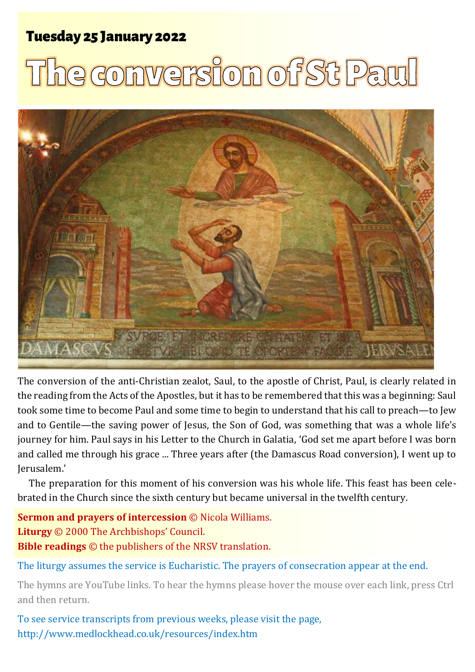# Tuesday 25 Tuesday 25 January 2022 <sup>1</sup> **The conversion of St Paul** January 2022

# **e conversion of St Paul**



The conversion of the anti-Christian zealot, Saul, to the apostle of Christ, Paul, is clearly related in the reading from the Acts of the Apostles, but it has to be remembered that this was a beginning: Saul took some time to become Paul and some time to begin to understand that his call to preach—to Jew and to Gentile—the saving power of Jesus, the Son of God, was something that was a whole life's journey for him. Paul says in his Letter to the Church in Galatia, 'God set me apart before I was born and called me through his grace ... Three years after (the Damascus Road conversion), I went up to Jerusalem.'

The preparation for this moment of his conversion was his whole life. This feast has been celebrated in the Church since the sixth century but became universal in the twelfth century.

**Sermon and prayers of intercession** © Nicola Williams. **Liturgy** © 2000 The Archbishops' Council. **Bible readings** © the publishers of the NRSV translation.

The liturgy assumes the service is Eucharistic. The prayers of consecration appear at the end.

The hymns are YouTube links. To hear the hymns please hover the mouse over each link, press Ctrl and then return.

To see service transcripts from previous weeks, please visit the page, <http://www.medlockhead.co.uk/resources/index.htm>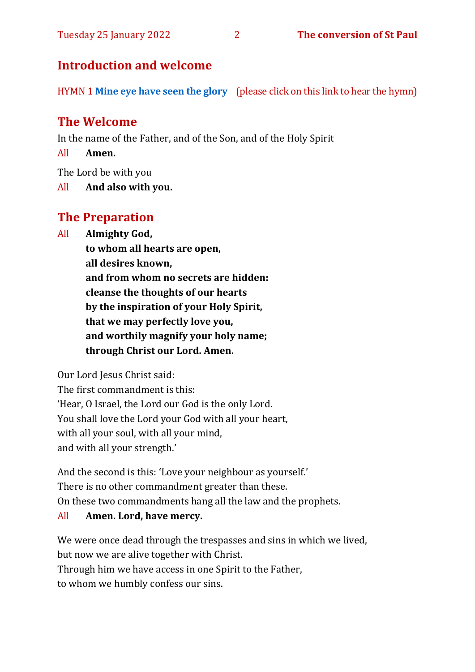#### Tuesday 25 January 2022 2 **The conversion of St Paul**

## **Introduction and welcome**

HYMN 1 **[Mine eye have seen the glory](https://www.youtube.com/watch?v=LRe_G_oWRLY)** (please click on this link to hear the hymn)

## **The Welcome**

In the name of the Father, and of the Son, and of the Holy Spirit

All **Amen.**

The Lord be with you

All **And also with you.**

# **The Preparation**

All **Almighty God,**

**to whom all hearts are open, all desires known, and from whom no secrets are hidden: cleanse the thoughts of our hearts by the inspiration of your Holy Spirit, that we may perfectly love you, and worthily magnify your holy name; through Christ our Lord. Amen.**

Our Lord Jesus Christ said:

The first commandment is this: 'Hear, O Israel, the Lord our God is the only Lord. You shall love the Lord your God with all your heart, with all your soul, with all your mind, and with all your strength.'

And the second is this: 'Love your neighbour as yourself.' There is no other commandment greater than these. On these two commandments hang all the law and the prophets.

#### All **Amen. Lord, have mercy.**

We were once dead through the trespasses and sins in which we lived, but now we are alive together with Christ. Through him we have access in one Spirit to the Father, to whom we humbly confess our sins.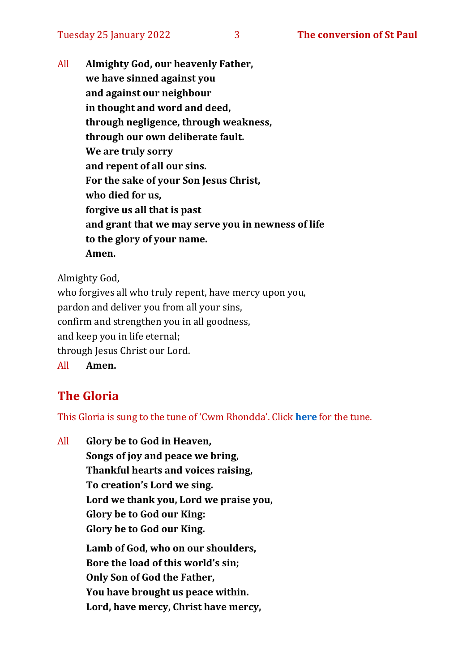All **Almighty God, our heavenly Father, we have sinned against you and against our neighbour in thought and word and deed, through negligence, through weakness, through our own deliberate fault. We are truly sorry and repent of all our sins. For the sake of your Son Jesus Christ, who died for us, forgive us all that is past and grant that we may serve you in newness of life to the glory of your name. Amen.**

Almighty God,

who forgives all who truly repent, have mercy upon you, pardon and deliver you from all your sins, confirm and strengthen you in all goodness, and keep you in life eternal; through Jesus Christ our Lord. All **Amen.**

# **The Gloria**

This Gloria is sung to the tune of 'Cwm Rhondda'. Click **[here](https://www.youtube.com/watch?v=l71MLQ22dIk)** for the tune.

All **Glory be to God in Heaven, Songs of joy and peace we bring, Thankful hearts and voices raising, To creation's Lord we sing. Lord we thank you, Lord we praise you, Glory be to God our King: Glory be to God our King. Lamb of God, who on our shoulders, Bore the load of this world's sin; Only Son of God the Father, You have brought us peace within. Lord, have mercy, Christ have mercy,**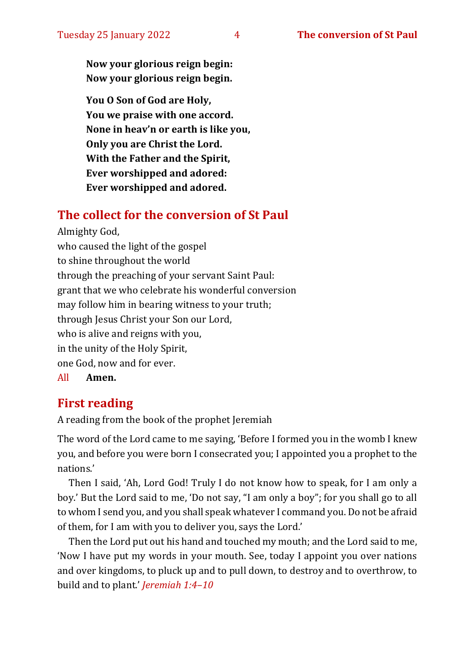**Now your glorious reign begin: Now your glorious reign begin.**

**You O Son of God are Holy, You we praise with one accord. None in heav'n or earth is like you, Only you are Christ the Lord. With the Father and the Spirit, Ever worshipped and adored: Ever worshipped and adored.**

## **The collect for the conversion of St Paul**

Almighty God, who caused the light of the gospel to shine throughout the world through the preaching of your servant Saint Paul: grant that we who celebrate his wonderful conversion may follow him in bearing witness to your truth; through Jesus Christ your Son our Lord, who is alive and reigns with you, in the unity of the Holy Spirit, one God, now and for ever. All **Amen.**

**First reading** 

# A reading from the book of the prophet Jeremiah

The word of the Lord came to me saying, 'Before I formed you in the womb I knew you, and before you were born I consecrated you; I appointed you a prophet to the nations.'

Then I said, 'Ah, Lord God! Truly I do not know how to speak, for I am only a boy.' But the Lord said to me, 'Do not say, "I am only a boy"; for you shall go to all to whom I send you, and you shall speak whatever I command you. Do not be afraid of them, for I am with you to deliver you, says the Lord.'

Then the Lord put out his hand and touched my mouth; and the Lord said to me, 'Now I have put my words in your mouth. See, today I appoint you over nations and over kingdoms, to pluck up and to pull down, to destroy and to overthrow, to build and to plant.' *Jeremiah 1:4–10*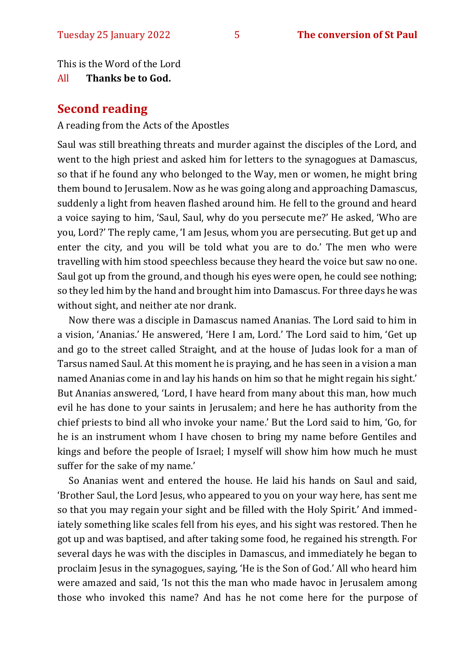This is the Word of the Lord

#### All **Thanks be to God.**

#### **Second reading**

A reading from the Acts of the Apostles

Saul was still breathing threats and murder against the disciples of the Lord, and went to the high priest and asked him for letters to the synagogues at Damascus, so that if he found any who belonged to the Way, men or women, he might bring them bound to Jerusalem. Now as he was going along and approaching Damascus, suddenly a light from heaven flashed around him. He fell to the ground and heard a voice saying to him, 'Saul, Saul, why do you persecute me?' He asked, 'Who are you, Lord?' The reply came, 'I am Jesus, whom you are persecuting. But get up and enter the city, and you will be told what you are to do.' The men who were travelling with him stood speechless because they heard the voice but saw no one. Saul got up from the ground, and though his eyes were open, he could see nothing; so they led him by the hand and brought him into Damascus. For three days he was without sight, and neither ate nor drank.

Now there was a disciple in Damascus named Ananias. The Lord said to him in a vision, 'Ananias.' He answered, 'Here I am, Lord.' The Lord said to him, 'Get up and go to the street called Straight, and at the house of Judas look for a man of Tarsus named Saul. At this moment he is praying, and he has seen in a vision a man named Ananias come in and lay his hands on him so that he might regain his sight.' But Ananias answered, 'Lord, I have heard from many about this man, how much evil he has done to your saints in Jerusalem; and here he has authority from the chief priests to bind all who invoke your name.' But the Lord said to him, 'Go, for he is an instrument whom I have chosen to bring my name before Gentiles and kings and before the people of Israel; I myself will show him how much he must suffer for the sake of my name.'

So Ananias went and entered the house. He laid his hands on Saul and said, 'Brother Saul, the Lord Jesus, who appeared to you on your way here, has sent me so that you may regain your sight and be filled with the Holy Spirit.' And immediately something like scales fell from his eyes, and his sight was restored. Then he got up and was baptised, and after taking some food, he regained his strength. For several days he was with the disciples in Damascus, and immediately he began to proclaim Jesus in the synagogues, saying, 'He is the Son of God.' All who heard him were amazed and said, 'Is not this the man who made havoc in Jerusalem among those who invoked this name? And has he not come here for the purpose of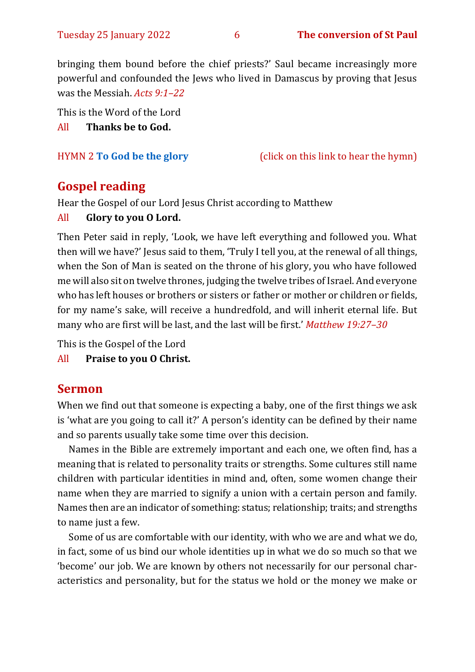bringing them bound before the chief priests?' Saul became increasingly more powerful and confounded the Jews who lived in Damascus by proving that Jesus was the Messiah. *Acts 9:1–22*

This is the Word of the Lord All **Thanks be to God.**

HYMN 2 **[To God be the glory](https://www.youtube.com/watch?v=wf9I_yi1_kk)** (click on this link to hear the hymn)

#### **Gospel reading**

Hear the Gospel of our Lord Jesus Christ according to Matthew

#### All **Glory to you O Lord.**

Then Peter said in reply, 'Look, we have left everything and followed you. What then will we have?' Jesus said to them, 'Truly I tell you, at the renewal of all things, when the Son of Man is seated on the throne of his glory, you who have followed me will also sit on twelve thrones, judging the twelve tribes of Israel. And everyone who has left houses or brothers or sisters or father or mother or children or fields, for my name's sake, will receive a hundredfold, and will inherit eternal life. But many who are first will be last, and the last will be first.' *Matthew 19:27–30*

This is the Gospel of the Lord

All **Praise to you O Christ.** 

#### **Sermon**

When we find out that someone is expecting a baby, one of the first things we ask is 'what are you going to call it?' A person's identity can be defined by their name and so parents usually take some time over this decision.

Names in the Bible are extremely important and each one, we often find, has a meaning that is related to personality traits or strengths. Some cultures still name children with particular identities in mind and, often, some women change their name when they are married to signify a union with a certain person and family. Names then are an indicator of something: status; relationship; traits; and strengths to name just a few.

Some of us are comfortable with our identity, with who we are and what we do, in fact, some of us bind our whole identities up in what we do so much so that we 'become' our job. We are known by others not necessarily for our personal characteristics and personality, but for the status we hold or the money we make or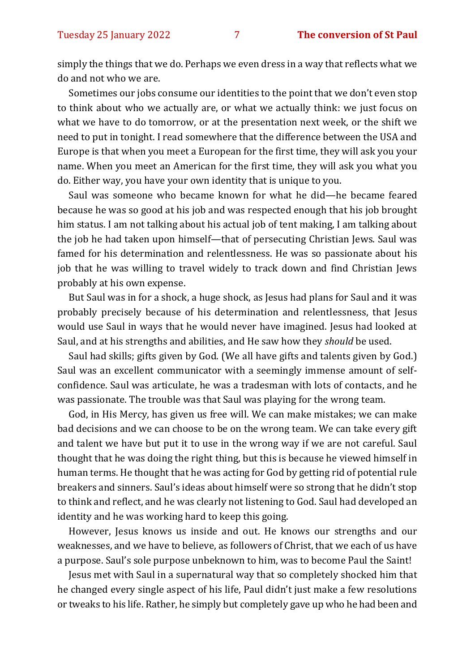simply the things that we do. Perhaps we even dress in a way that reflects what we do and not who we are.

Sometimes our jobs consume our identities to the point that we don't even stop to think about who we actually are, or what we actually think: we just focus on what we have to do tomorrow, or at the presentation next week, or the shift we need to put in tonight. I read somewhere that the difference between the USA and Europe is that when you meet a European for the first time, they will ask you your name. When you meet an American for the first time, they will ask you what you do. Either way, you have your own identity that is unique to you.

Saul was someone who became known for what he did—he became feared because he was so good at his job and was respected enough that his job brought him status. I am not talking about his actual job of tent making, I am talking about the job he had taken upon himself—that of persecuting Christian Jews. Saul was famed for his determination and relentlessness. He was so passionate about his job that he was willing to travel widely to track down and find Christian Jews probably at his own expense.

But Saul was in for a shock, a huge shock, as Jesus had plans for Saul and it was probably precisely because of his determination and relentlessness, that Jesus would use Saul in ways that he would never have imagined. Jesus had looked at Saul, and at his strengths and abilities, and He saw how they *should* be used.

Saul had skills; gifts given by God. (We all have gifts and talents given by God.) Saul was an excellent communicator with a seemingly immense amount of selfconfidence. Saul was articulate, he was a tradesman with lots of contacts, and he was passionate. The trouble was that Saul was playing for the wrong team.

God, in His Mercy, has given us free will. We can make mistakes; we can make bad decisions and we can choose to be on the wrong team. We can take every gift and talent we have but put it to use in the wrong way if we are not careful. Saul thought that he was doing the right thing, but this is because he viewed himself in human terms. He thought that he was acting for God by getting rid of potential rule breakers and sinners. Saul's ideas about himself were so strong that he didn't stop to think and reflect, and he was clearly not listening to God. Saul had developed an identity and he was working hard to keep this going.

However, Jesus knows us inside and out. He knows our strengths and our weaknesses, and we have to believe, as followers of Christ, that we each of us have a purpose. Saul's sole purpose unbeknown to him, was to become Paul the Saint!

Jesus met with Saul in a supernatural way that so completely shocked him that he changed every single aspect of his life, Paul didn't just make a few resolutions or tweaks to his life. Rather, he simply but completely gave up who he had been and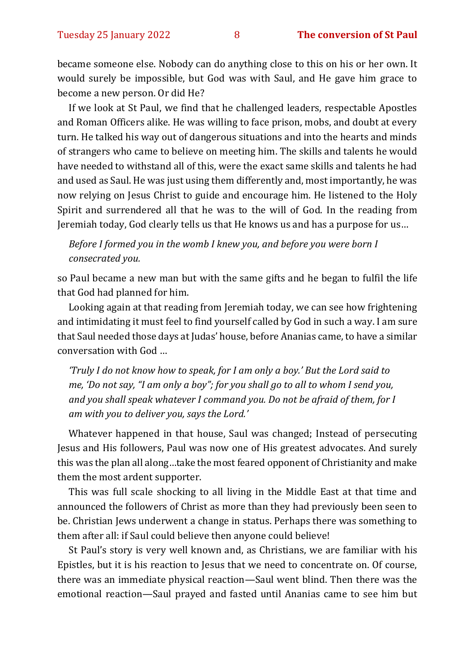became someone else. Nobody can do anything close to this on his or her own. It would surely be impossible, but God was with Saul, and He gave him grace to become a new person. Or did He?

If we look at St Paul, we find that he challenged leaders, respectable Apostles and Roman Officers alike. He was willing to face prison, mobs, and doubt at every turn. He talked his way out of dangerous situations and into the hearts and minds of strangers who came to believe on meeting him. The skills and talents he would have needed to withstand all of this, were the exact same skills and talents he had and used as Saul. He was just using them differently and, most importantly, he was now relying on Jesus Christ to guide and encourage him. He listened to the Holy Spirit and surrendered all that he was to the will of God. In the reading from Jeremiah today, God clearly tells us that He knows us and has a purpose for us…

*Before I formed you in the womb I knew you, and before you were born I consecrated you.* 

so Paul became a new man but with the same gifts and he began to fulfil the life that God had planned for him.

Looking again at that reading from Jeremiah today, we can see how frightening and intimidating it must feel to find yourself called by God in such a way. I am sure that Saul needed those days at Judas' house, before Ananias came, to have a similar conversation with God …

*'Truly I do not know how to speak, for I am only a boy.' But the Lord said to me, 'Do not say, "I am only a boy"; for you shall go to all to whom I send you, and you shall speak whatever I command you. Do not be afraid of them, for I am with you to deliver you, says the Lord.'*

Whatever happened in that house, Saul was changed; Instead of persecuting Jesus and His followers, Paul was now one of His greatest advocates. And surely this was the plan all along…take the most feared opponent of Christianity and make them the most ardent supporter.

This was full scale shocking to all living in the Middle East at that time and announced the followers of Christ as more than they had previously been seen to be. Christian Jews underwent a change in status. Perhaps there was something to them after all: if Saul could believe then anyone could believe!

St Paul's story is very well known and, as Christians, we are familiar with his Epistles, but it is his reaction to Jesus that we need to concentrate on. Of course, there was an immediate physical reaction—Saul went blind. Then there was the emotional reaction—Saul prayed and fasted until Ananias came to see him but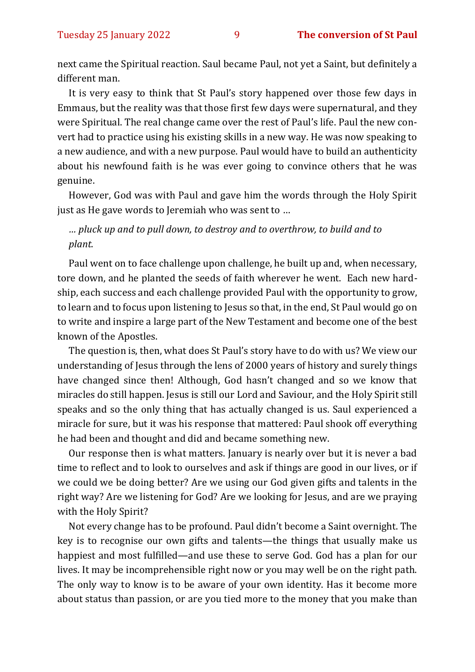next came the Spiritual reaction. Saul became Paul, not yet a Saint, but definitely a different man.

It is very easy to think that St Paul's story happened over those few days in Emmaus, but the reality was that those first few days were supernatural, and they were Spiritual. The real change came over the rest of Paul's life. Paul the new convert had to practice using his existing skills in a new way. He was now speaking to a new audience, and with a new purpose. Paul would have to build an authenticity about his newfound faith is he was ever going to convince others that he was genuine.

However, God was with Paul and gave him the words through the Holy Spirit just as He gave words to Jeremiah who was sent to …

#### *… pluck up and to pull down, to destroy and to overthrow, to build and to plant.*

Paul went on to face challenge upon challenge, he built up and, when necessary, tore down, and he planted the seeds of faith wherever he went. Each new hardship, each success and each challenge provided Paul with the opportunity to grow, to learn and to focus upon listening to Jesus so that, in the end, St Paul would go on to write and inspire a large part of the New Testament and become one of the best known of the Apostles.

The question is, then, what does St Paul's story have to do with us? We view our understanding of Jesus through the lens of 2000 years of history and surely things have changed since then! Although, God hasn't changed and so we know that miracles do still happen. Jesus is still our Lord and Saviour, and the Holy Spirit still speaks and so the only thing that has actually changed is us. Saul experienced a miracle for sure, but it was his response that mattered: Paul shook off everything he had been and thought and did and became something new.

Our response then is what matters. January is nearly over but it is never a bad time to reflect and to look to ourselves and ask if things are good in our lives, or if we could we be doing better? Are we using our God given gifts and talents in the right way? Are we listening for God? Are we looking for Jesus, and are we praying with the Holy Spirit?

Not every change has to be profound. Paul didn't become a Saint overnight. The key is to recognise our own gifts and talents—the things that usually make us happiest and most fulfilled—and use these to serve God. God has a plan for our lives. It may be incomprehensible right now or you may well be on the right path. The only way to know is to be aware of your own identity. Has it become more about status than passion, or are you tied more to the money that you make than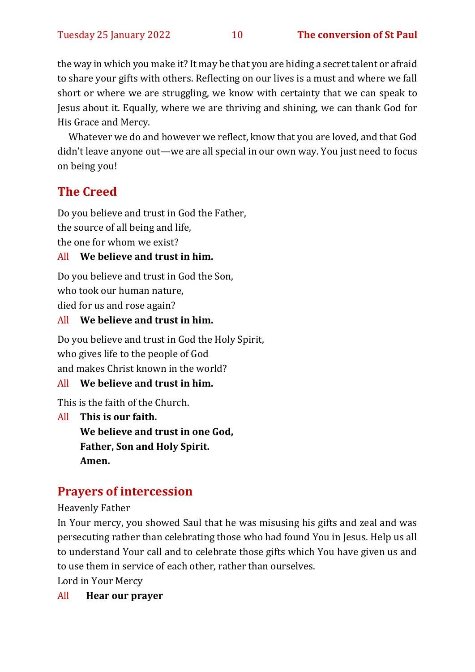the way in which you make it? It may be that you are hiding a secret talent or afraid to share your gifts with others. Reflecting on our lives is a must and where we fall short or where we are struggling, we know with certainty that we can speak to Jesus about it. Equally, where we are thriving and shining, we can thank God for His Grace and Mercy.

Whatever we do and however we reflect, know that you are loved, and that God didn't leave anyone out—we are all special in our own way. You just need to focus on being you!

# **The Creed**

Do you believe and trust in God the Father, the source of all being and life, the one for whom we exist?

# All **We believe and trust in him.**

Do you believe and trust in God the Son, who took our human nature, died for us and rose again?

All **We believe and trust in him.**

Do you believe and trust in God the Holy Spirit, who gives life to the people of God and makes Christ known in the world?

#### All **We believe and trust in him.**

This is the faith of the Church.

All **This is our faith. We believe and trust in one God, Father, Son and Holy Spirit. Amen.**

# **Prayers of intercession**

Heavenly Father

In Your mercy, you showed Saul that he was misusing his gifts and zeal and was persecuting rather than celebrating those who had found You in Jesus. Help us all to understand Your call and to celebrate those gifts which You have given us and to use them in service of each other, rather than ourselves.

Lord in Your Mercy

All **Hear our prayer**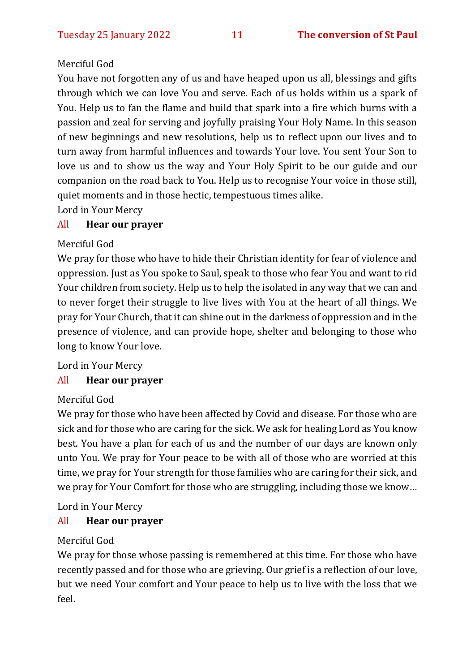#### Merciful God

You have not forgotten any of us and have heaped upon us all, blessings and gifts through which we can love You and serve. Each of us holds within us a spark of You. Help us to fan the flame and build that spark into a fire which burns with a passion and zeal for serving and joyfully praising Your Holy Name. In this season of new beginnings and new resolutions, help us to reflect upon our lives and to turn away from harmful influences and towards Your love. You sent Your Son to love us and to show us the way and Your Holy Spirit to be our guide and our companion on the road back to You. Help us to recognise Your voice in those still, quiet moments and in those hectic, tempestuous times alike.

Lord in Your Mercy

#### All **Hear our prayer**

#### Merciful God

We pray for those who have to hide their Christian identity for fear of violence and oppression. Just as You spoke to Saul, speak to those who fear You and want to rid Your children from society. Help us to help the isolated in any way that we can and to never forget their struggle to live lives with You at the heart of all things. We pray for Your Church, that it can shine out in the darkness of oppression and in the presence of violence, and can provide hope, shelter and belonging to those who long to know Your love.

Lord in Your Mercy

#### All **Hear our prayer**

#### Merciful God

We pray for those who have been affected by Covid and disease. For those who are sick and for those who are caring for the sick. We ask for healing Lord as You know best. You have a plan for each of us and the number of our days are known only unto You. We pray for Your peace to be with all of those who are worried at this time, we pray for Your strength for those families who are caring for their sick, and we pray for Your Comfort for those who are struggling, including those we know…

Lord in Your Mercy

#### All **Hear our prayer**

#### Merciful God

We pray for those whose passing is remembered at this time. For those who have recently passed and for those who are grieving. Our grief is a reflection of our love, but we need Your comfort and Your peace to help us to live with the loss that we feel.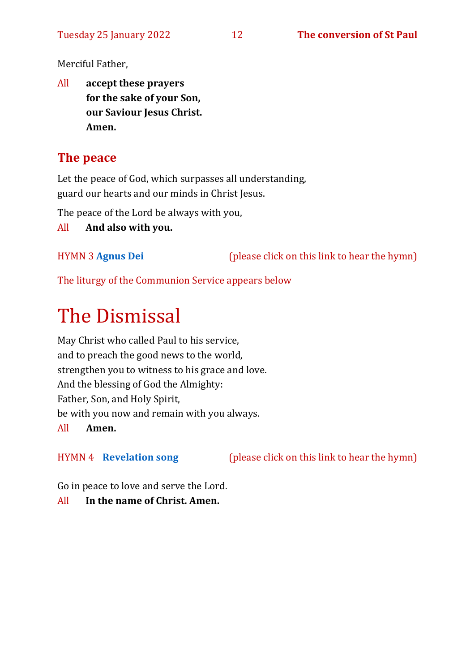Merciful Father,

All **accept these prayers for the sake of your Son, our Saviour Jesus Christ. Amen.**

# **The peace**

Let the peace of God, which surpasses all understanding, guard our hearts and our minds in Christ Jesus.

The peace of the Lord be always with you,

All **And also with you.**

HYMN 3 **[Agnus Dei](https://www.youtube.com/watch?v=rBeEqA1VrNk)** (please click on this link to hear the hymn)

The liturgy of the Communion Service appears below

# The Dismissal

May Christ who called Paul to his service, and to preach the good news to the world, strengthen you to witness to his grace and love. And the blessing of God the Almighty: Father, Son, and Holy Spirit, be with you now and remain with you always. All **Amen.**

HYMN 4 **[Revelation song](https://www.youtube.com/watch?v=dsiDukXIeVY)** (please click on this link to hear the hymn)

Go in peace to love and serve the Lord.

All **In the name of Christ. Amen.**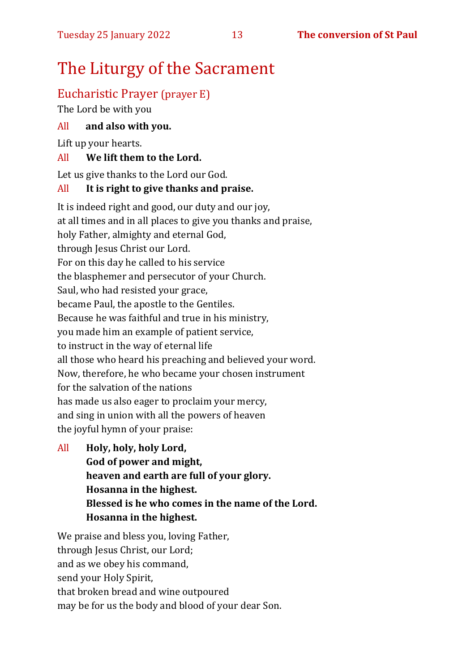# The Liturgy of the Sacrament

# Eucharistic Prayer (prayer E)

The Lord be with you

#### All **and also with you.**

Lift up your hearts.

#### All **We lift them to the Lord.**

Let us give thanks to the Lord our God.

#### All **It is right to give thanks and praise.**

It is indeed right and good, our duty and our joy, at all times and in all places to give you thanks and praise, holy Father, almighty and eternal God, through Jesus Christ our Lord. For on this day he called to his service the blasphemer and persecutor of your Church. Saul, who had resisted your grace, became Paul, the apostle to the Gentiles. Because he was faithful and true in his ministry, you made him an example of patient service, to instruct in the way of eternal life all those who heard his preaching and believed your word. Now, therefore, he who became your chosen instrument for the salvation of the nations has made us also eager to proclaim your mercy, and sing in union with all the powers of heaven the joyful hymn of your praise:

All **Holy, holy, holy Lord,**

**God of power and might, heaven and earth are full of your glory. Hosanna in the highest. Blessed is he who comes in the name of the Lord. Hosanna in the highest.**

We praise and bless you, loving Father, through Jesus Christ, our Lord; and as we obey his command, send your Holy Spirit, that broken bread and wine outpoured may be for us the body and blood of your dear Son.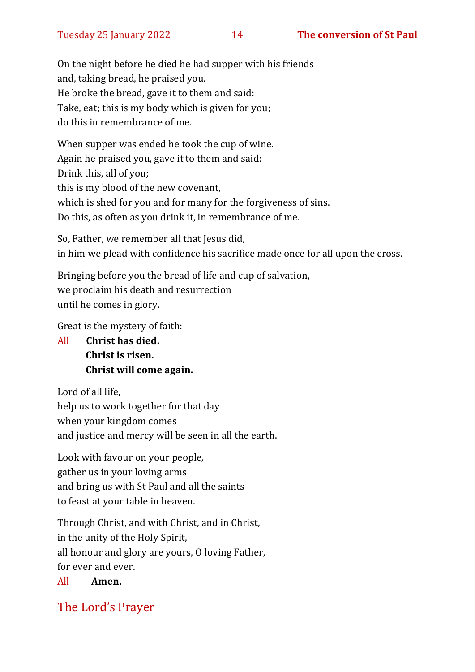On the night before he died he had supper with his friends and, taking bread, he praised you. He broke the bread, gave it to them and said: Take, eat; this is my body which is given for you; do this in remembrance of me.

When supper was ended he took the cup of wine. Again he praised you, gave it to them and said: Drink this, all of you; this is my blood of the new covenant, which is shed for you and for many for the forgiveness of sins. Do this, as often as you drink it, in remembrance of me.

So, Father, we remember all that Jesus did, in him we plead with confidence his sacrifice made once for all upon the cross.

Bringing before you the bread of life and cup of salvation, we proclaim his death and resurrection until he comes in glory.

Great is the mystery of faith:

All **Christ has died. Christ is risen. Christ will come again.**

Lord of all life, help us to work together for that day when your kingdom comes and justice and mercy will be seen in all the earth.

Look with favour on your people, gather us in your loving arms and bring us with St Paul and all the saints to feast at your table in heaven.

Through Christ, and with Christ, and in Christ, in the unity of the Holy Spirit, all honour and glory are yours, O loving Father, for ever and ever.

All **Amen.**

# The Lord's Prayer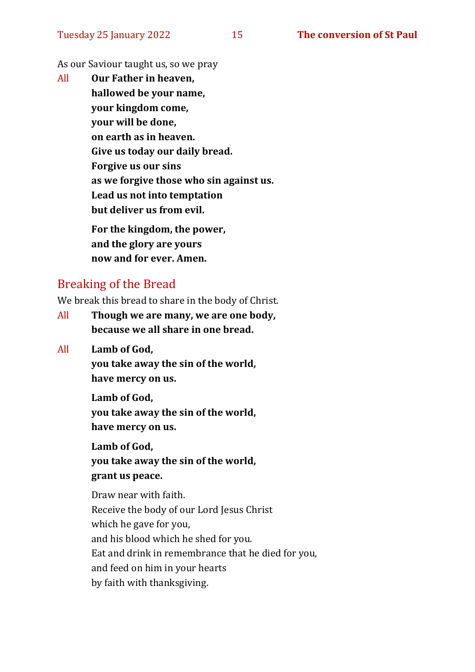As our Saviour taught us, so we pray

All **Our Father in heaven, hallowed be your name, your kingdom come, your will be done, on earth as in heaven. Give us today our daily bread. Forgive us our sins as we forgive those who sin against us. Lead us not into temptation but deliver us from evil. For the kingdom, the power, and the glory are yours**

**now and for ever. Amen.**

# Breaking of the Bread

We break this bread to share in the body of Christ.

- All **Though we are many, we are one body, because we all share in one bread.**
- All **Lamb of God,**

**you take away the sin of the world, have mercy on us.**

**Lamb of God, you take away the sin of the world, have mercy on us.**

**Lamb of God, you take away the sin of the world, grant us peace.**

Draw near with faith. Receive the body of our Lord Jesus Christ which he gave for you, and his blood which he shed for you. Eat and drink in remembrance that he died for you, and feed on him in your hearts by faith with thanksgiving.